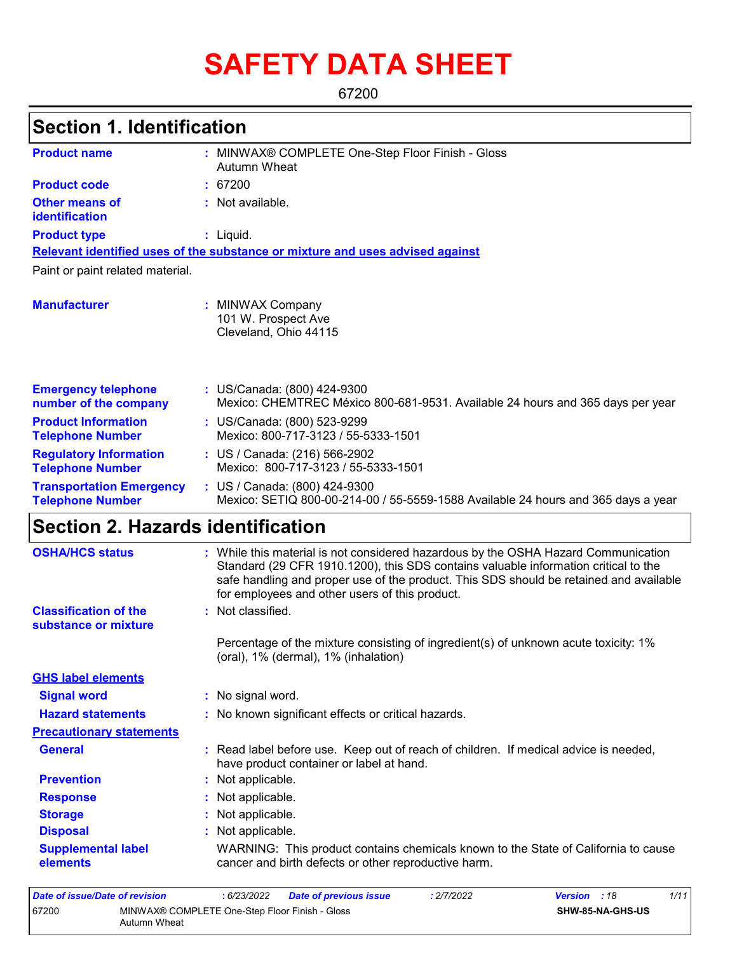# **SAFETY DATA SHEET**

67200

## **Section 1. Identification**

| <b>Product name</b>                                        | : MINWAX® COMPLETE One-Step Floor Finish - Gloss<br>Autumn Wheat                                                                                                                                                                                                                                                      |
|------------------------------------------------------------|-----------------------------------------------------------------------------------------------------------------------------------------------------------------------------------------------------------------------------------------------------------------------------------------------------------------------|
| <b>Product code</b>                                        | 67200                                                                                                                                                                                                                                                                                                                 |
| <b>Other means of</b><br><b>identification</b>             | : Not available.                                                                                                                                                                                                                                                                                                      |
| <b>Product type</b>                                        | $:$ Liquid.                                                                                                                                                                                                                                                                                                           |
|                                                            | Relevant identified uses of the substance or mixture and uses advised against                                                                                                                                                                                                                                         |
| Paint or paint related material.                           |                                                                                                                                                                                                                                                                                                                       |
| <b>Manufacturer</b>                                        | : MINWAX Company<br>101 W. Prospect Ave<br>Cleveland, Ohio 44115                                                                                                                                                                                                                                                      |
| <b>Emergency telephone</b><br>number of the company        | : US/Canada: (800) 424-9300<br>Mexico: CHEMTREC México 800-681-9531. Available 24 hours and 365 days per year                                                                                                                                                                                                         |
| <b>Product Information</b><br><b>Telephone Number</b>      | : US/Canada: (800) 523-9299<br>Mexico: 800-717-3123 / 55-5333-1501                                                                                                                                                                                                                                                    |
| <b>Regulatory Information</b><br><b>Telephone Number</b>   | : US / Canada: (216) 566-2902<br>Mexico: 800-717-3123 / 55-5333-1501                                                                                                                                                                                                                                                  |
| <b>Transportation Emergency</b><br><b>Telephone Number</b> | : US / Canada: (800) 424-9300<br>Mexico: SETIQ 800-00-214-00 / 55-5559-1588 Available 24 hours and 365 days a year                                                                                                                                                                                                    |
| <b>Section 2. Hazards identification</b>                   |                                                                                                                                                                                                                                                                                                                       |
| <b>OSHA/HCS status</b>                                     | : While this material is not considered hazardous by the OSHA Hazard Communication<br>Standard (29 CFR 1910.1200), this SDS contains valuable information critical to the<br>safe handling and proper use of the product. This SDS should be retained and available<br>for employees and other users of this product. |

**Classification of the substance or mixture** : Not classified.

**Precautionary statements**

**GHS label elements**

Percentage of the mixture consisting of ingredient(s) of unknown acute toxicity: 1% (oral), 1% (dermal), 1% (inhalation)

**Signal word :** No signal word.

- **Hazard statements :** No known significant effects or critical hazards.
- **General :** Read label before use. Keep out of reach of children. If medical advice is needed, have product container or label at hand.
- **Prevention :** Not applicable. **Response :** Not applicable. **Storage :** Not applicable. **Disposal Contract Exercise Exercise :** Not applicable. **Supplemental label elements** WARNING: This product contains chemicals known to the State of California to cause cancer and birth defects or other reproductive harm.

| Date of issue/Date of revision |                                                                | : 6/23/2022 | <b>Date of previous issue</b> | .2/7/2022 | <b>Version</b> : 18 |                         | 1/11 |
|--------------------------------|----------------------------------------------------------------|-------------|-------------------------------|-----------|---------------------|-------------------------|------|
| 67200                          | MINWAX® COMPLETE One-Step Floor Finish - Gloss<br>Autumn Wheat |             |                               |           |                     | <b>SHW-85-NA-GHS-US</b> |      |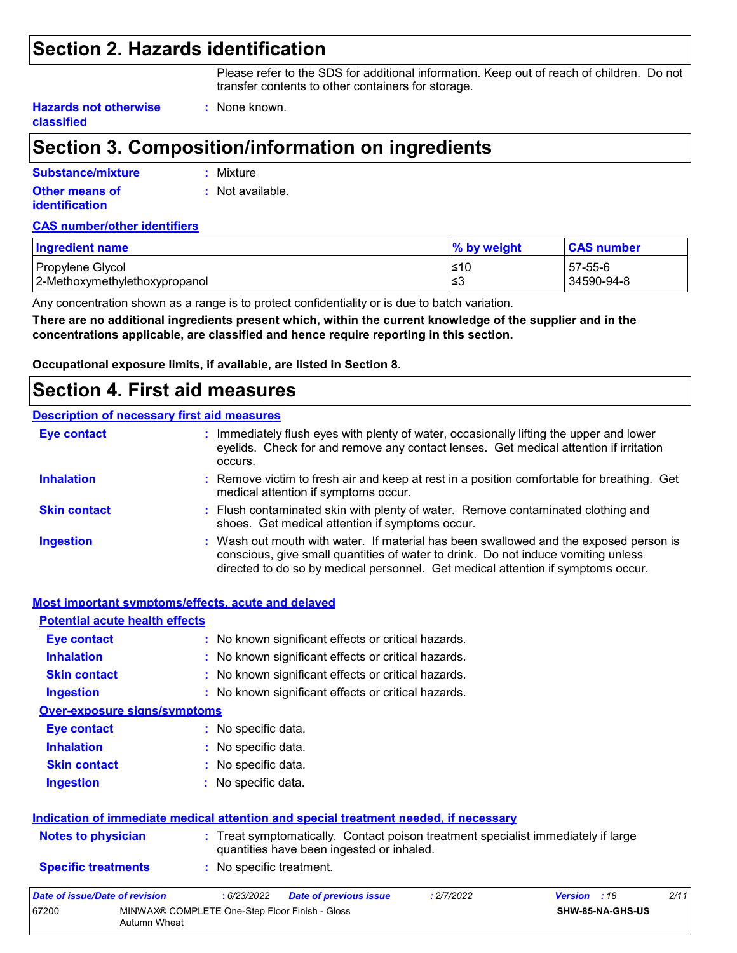### **Section 2. Hazards identification**

Please refer to the SDS for additional information. Keep out of reach of children. Do not transfer contents to other containers for storage.

**Hazards not otherwise classified**

## **Section 3. Composition/information on ingredients**

**:** None known.

| Substance/mixture                              | : Mixture        |
|------------------------------------------------|------------------|
| <b>Other means of</b><br><b>identification</b> | : Not available. |
|                                                |                  |

#### **CAS number/other identifiers**

| <b>Ingredient name</b>        | % by weight | <b>CAS number</b> |
|-------------------------------|-------------|-------------------|
| Propylene Glycol              | ≤10         | 57-55-6           |
| 2-Methoxymethylethoxypropanol | l≤3         | 34590-94-8        |

Any concentration shown as a range is to protect confidentiality or is due to batch variation.

**There are no additional ingredients present which, within the current knowledge of the supplier and in the concentrations applicable, are classified and hence require reporting in this section.**

**Occupational exposure limits, if available, are listed in Section 8.**

### **Section 4. First aid measures**

#### **Description of necessary first aid measures**

| <b>Eye contact</b>  | : Immediately flush eyes with plenty of water, occasionally lifting the upper and lower<br>eyelids. Check for and remove any contact lenses. Get medical attention if irritation<br>occurs.                                                                    |  |
|---------------------|----------------------------------------------------------------------------------------------------------------------------------------------------------------------------------------------------------------------------------------------------------------|--|
| <b>Inhalation</b>   | : Remove victim to fresh air and keep at rest in a position comfortable for breathing. Get<br>medical attention if symptoms occur.                                                                                                                             |  |
| <b>Skin contact</b> | : Flush contaminated skin with plenty of water. Remove contaminated clothing and<br>shoes. Get medical attention if symptoms occur.                                                                                                                            |  |
| <b>Ingestion</b>    | : Wash out mouth with water. If material has been swallowed and the exposed person is<br>conscious, give small quantities of water to drink. Do not induce vomiting unless<br>directed to do so by medical personnel. Get medical attention if symptoms occur. |  |

|                                                                          | <b>Most important symptoms/effects, acute and delayed</b>                                                                      |                               |  |  |  |  |
|--------------------------------------------------------------------------|--------------------------------------------------------------------------------------------------------------------------------|-------------------------------|--|--|--|--|
| <b>Potential acute health effects</b>                                    |                                                                                                                                |                               |  |  |  |  |
| Eye contact                                                              | : No known significant effects or critical hazards.                                                                            |                               |  |  |  |  |
| <b>Inhalation</b><br>: No known significant effects or critical hazards. |                                                                                                                                |                               |  |  |  |  |
| <b>Skin contact</b>                                                      | : No known significant effects or critical hazards.                                                                            |                               |  |  |  |  |
| <b>Ingestion</b>                                                         | : No known significant effects or critical hazards.                                                                            |                               |  |  |  |  |
| <b>Over-exposure signs/symptoms</b>                                      |                                                                                                                                |                               |  |  |  |  |
| Eye contact                                                              | : No specific data.                                                                                                            |                               |  |  |  |  |
| <b>Inhalation</b><br>: No specific data.                                 |                                                                                                                                |                               |  |  |  |  |
| <b>Skin contact</b><br>: No specific data.                               |                                                                                                                                |                               |  |  |  |  |
| <b>Ingestion</b>                                                         | : No specific data.                                                                                                            |                               |  |  |  |  |
|                                                                          | Indication of immediate medical attention and special treatment needed, if necessary                                           |                               |  |  |  |  |
| <b>Notes to physician</b>                                                | : Treat symptomatically. Contact poison treatment specialist immediately if large<br>quantities have been ingested or inhaled. |                               |  |  |  |  |
| <b>Specific treatments</b>                                               | : No specific treatment.                                                                                                       |                               |  |  |  |  |
| Date of issue/Date of revision                                           | :6/23/2022<br><b>Date of previous issue</b><br>: 2/7/2022                                                                      | 2/11<br><b>Version</b><br>:18 |  |  |  |  |
| 67200<br>Autumn Wheat                                                    | MINWAX® COMPLETE One-Step Floor Finish - Gloss                                                                                 | SHW-85-NA-GHS-US              |  |  |  |  |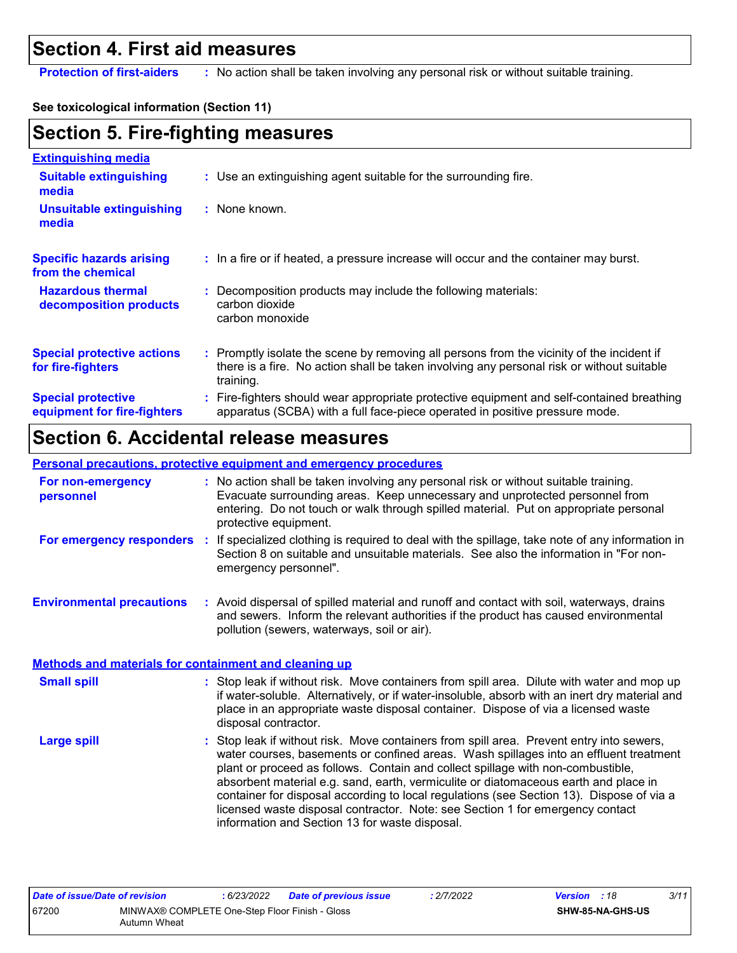### **Section 4. First aid measures**

**Protection of first-aiders** : No action shall be taken involving any personal risk or without suitable training.

#### **See toxicological information (Section 11)**

## **Section 5. Fire-fighting measures**

| <b>Extinguishing media</b>                               |                                                                                                                                                                                                     |
|----------------------------------------------------------|-----------------------------------------------------------------------------------------------------------------------------------------------------------------------------------------------------|
| <b>Suitable extinguishing</b><br>media                   | : Use an extinguishing agent suitable for the surrounding fire.                                                                                                                                     |
| <b>Unsuitable extinguishing</b><br>media                 | $:$ None known.                                                                                                                                                                                     |
| <b>Specific hazards arising</b><br>from the chemical     | : In a fire or if heated, a pressure increase will occur and the container may burst.                                                                                                               |
| <b>Hazardous thermal</b><br>decomposition products       | : Decomposition products may include the following materials:<br>carbon dioxide<br>carbon monoxide                                                                                                  |
| <b>Special protective actions</b><br>for fire-fighters   | : Promptly isolate the scene by removing all persons from the vicinity of the incident if<br>there is a fire. No action shall be taken involving any personal risk or without suitable<br>training. |
| <b>Special protective</b><br>equipment for fire-fighters | : Fire-fighters should wear appropriate protective equipment and self-contained breathing<br>apparatus (SCBA) with a full face-piece operated in positive pressure mode.                            |

## **Section 6. Accidental release measures**

#### **Personal precautions, protective equipment and emergency procedures**

| For non-emergency<br>personnel                               | : No action shall be taken involving any personal risk or without suitable training.<br>Evacuate surrounding areas. Keep unnecessary and unprotected personnel from<br>entering. Do not touch or walk through spilled material. Put on appropriate personal<br>protective equipment.                     |
|--------------------------------------------------------------|----------------------------------------------------------------------------------------------------------------------------------------------------------------------------------------------------------------------------------------------------------------------------------------------------------|
| For emergency responders                                     | : If specialized clothing is required to deal with the spillage, take note of any information in<br>Section 8 on suitable and unsuitable materials. See also the information in "For non-<br>emergency personnel".                                                                                       |
| <b>Environmental precautions</b>                             | : Avoid dispersal of spilled material and runoff and contact with soil, waterways, drains<br>and sewers. Inform the relevant authorities if the product has caused environmental<br>pollution (sewers, waterways, soil or air).                                                                          |
| <b>Methods and materials for containment and cleaning up</b> |                                                                                                                                                                                                                                                                                                          |
| <b>Small spill</b>                                           | : Stop leak if without risk. Move containers from spill area. Dilute with water and mop up<br>if water-soluble. Alternatively, or if water-insoluble, absorb with an inert dry material and<br>place in an appropriate waste disposal container. Dispose of via a licensed waste<br>disposal contractor. |
| <b>Large spill</b>                                           | : Stop leak if without risk. Move containers from spill area. Prevent entry into sewers,<br>water courses, basements or confined areas. Wash spillages into an effluent treatment<br>والمائلة يتماجعون والمستطلبان والمستراف والمسترام والمسترد والمستحال والمستحدث والمستحدث والمستراة                  |

plant or proceed as follows. Contain and collect spillage with non-combustible, absorbent material e.g. sand, earth, vermiculite or diatomaceous earth and place in container for disposal according to local regulations (see Section 13). Dispose of via a licensed waste disposal contractor. Note: see Section 1 for emergency contact information and Section 13 for waste disposal.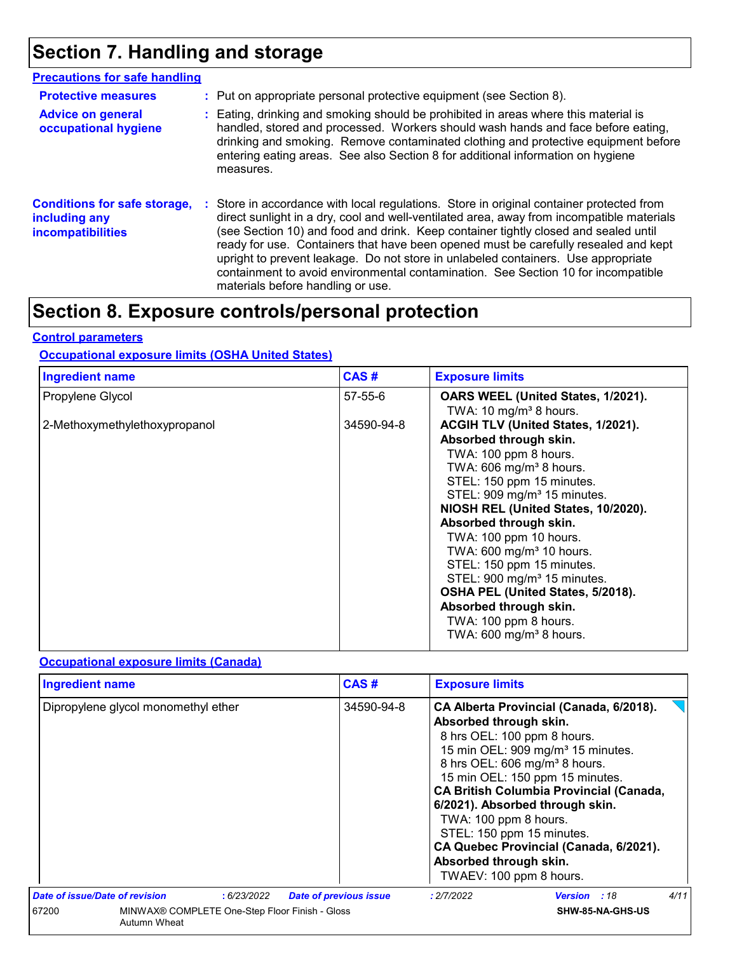## **Section 7. Handling and storage**

| <b>Precautions for safe handling</b>                                      |     |                                                                                                                                                                                                                                                                                                                                                                                                                                                                                                                                                                                  |
|---------------------------------------------------------------------------|-----|----------------------------------------------------------------------------------------------------------------------------------------------------------------------------------------------------------------------------------------------------------------------------------------------------------------------------------------------------------------------------------------------------------------------------------------------------------------------------------------------------------------------------------------------------------------------------------|
| <b>Protective measures</b>                                                |     | : Put on appropriate personal protective equipment (see Section 8).                                                                                                                                                                                                                                                                                                                                                                                                                                                                                                              |
| <b>Advice on general</b><br>occupational hygiene                          |     | : Eating, drinking and smoking should be prohibited in areas where this material is<br>handled, stored and processed. Workers should wash hands and face before eating,<br>drinking and smoking. Remove contaminated clothing and protective equipment before<br>entering eating areas. See also Section 8 for additional information on hygiene<br>measures.                                                                                                                                                                                                                    |
| <b>Conditions for safe storage,</b><br>including any<br>incompatibilities | з., | Store in accordance with local regulations. Store in original container protected from<br>direct sunlight in a dry, cool and well-ventilated area, away from incompatible materials<br>(see Section 10) and food and drink. Keep container tightly closed and sealed until<br>ready for use. Containers that have been opened must be carefully resealed and kept<br>upright to prevent leakage. Do not store in unlabeled containers. Use appropriate<br>containment to avoid environmental contamination. See Section 10 for incompatible<br>materials before handling or use. |

## **Section 8. Exposure controls/personal protection**

#### **Control parameters**

#### **Occupational exposure limits (OSHA United States)**

| <b>Ingredient name</b>        | CAS#          | <b>Exposure limits</b>                                                                                                                                                                                                                                                                                                                                                                                                                                                                                                                         |
|-------------------------------|---------------|------------------------------------------------------------------------------------------------------------------------------------------------------------------------------------------------------------------------------------------------------------------------------------------------------------------------------------------------------------------------------------------------------------------------------------------------------------------------------------------------------------------------------------------------|
| Propylene Glycol              | $57 - 55 - 6$ | OARS WEEL (United States, 1/2021).<br>TWA: 10 mg/m <sup>3</sup> 8 hours.                                                                                                                                                                                                                                                                                                                                                                                                                                                                       |
| 2-Methoxymethylethoxypropanol | 34590-94-8    | ACGIH TLV (United States, 1/2021).<br>Absorbed through skin.<br>TWA: 100 ppm 8 hours.<br>TWA: 606 mg/m <sup>3</sup> 8 hours.<br>STEL: 150 ppm 15 minutes.<br>STEL: 909 mg/m <sup>3</sup> 15 minutes.<br>NIOSH REL (United States, 10/2020).<br>Absorbed through skin.<br>TWA: 100 ppm 10 hours.<br>TWA: 600 mg/m <sup>3</sup> 10 hours.<br>STEL: 150 ppm 15 minutes.<br>STEL: 900 mg/m <sup>3</sup> 15 minutes.<br>OSHA PEL (United States, 5/2018).<br>Absorbed through skin.<br>TWA: 100 ppm 8 hours.<br>TWA: 600 mg/m <sup>3</sup> 8 hours. |

#### **Occupational exposure limits (Canada)**

| <b>Ingredient name</b>                                                  |             | CAS#                          | <b>Exposure limits</b>                                                                                                                                                                                                                                                              |                                                                                                                                                                                      |      |
|-------------------------------------------------------------------------|-------------|-------------------------------|-------------------------------------------------------------------------------------------------------------------------------------------------------------------------------------------------------------------------------------------------------------------------------------|--------------------------------------------------------------------------------------------------------------------------------------------------------------------------------------|------|
| Dipropylene glycol monomethyl ether                                     |             | 34590-94-8                    | Absorbed through skin.<br>8 hrs OEL: 100 ppm 8 hours.<br>8 hrs OEL: 606 mg/m <sup>3</sup> 8 hours.<br>15 min OEL: 150 ppm 15 minutes.<br>6/2021). Absorbed through skin.<br>TWA: 100 ppm 8 hours.<br>STEL: 150 ppm 15 minutes.<br>Absorbed through skin.<br>TWAEV: 100 ppm 8 hours. | CA Alberta Provincial (Canada, 6/2018).<br>15 min OEL: 909 mg/m <sup>3</sup> 15 minutes.<br><b>CA British Columbia Provincial (Canada,</b><br>CA Quebec Provincial (Canada, 6/2021). |      |
| Date of issue/Date of revision                                          | : 6/23/2022 | <b>Date of previous issue</b> | : 2/7/2022                                                                                                                                                                                                                                                                          | <b>Version</b> : 18                                                                                                                                                                  | 4/11 |
| 67200<br>MINWAX® COMPLETE One-Step Floor Finish - Gloss<br>Autumn Wheat |             |                               | SHW-85-NA-GHS-US                                                                                                                                                                                                                                                                    |                                                                                                                                                                                      |      |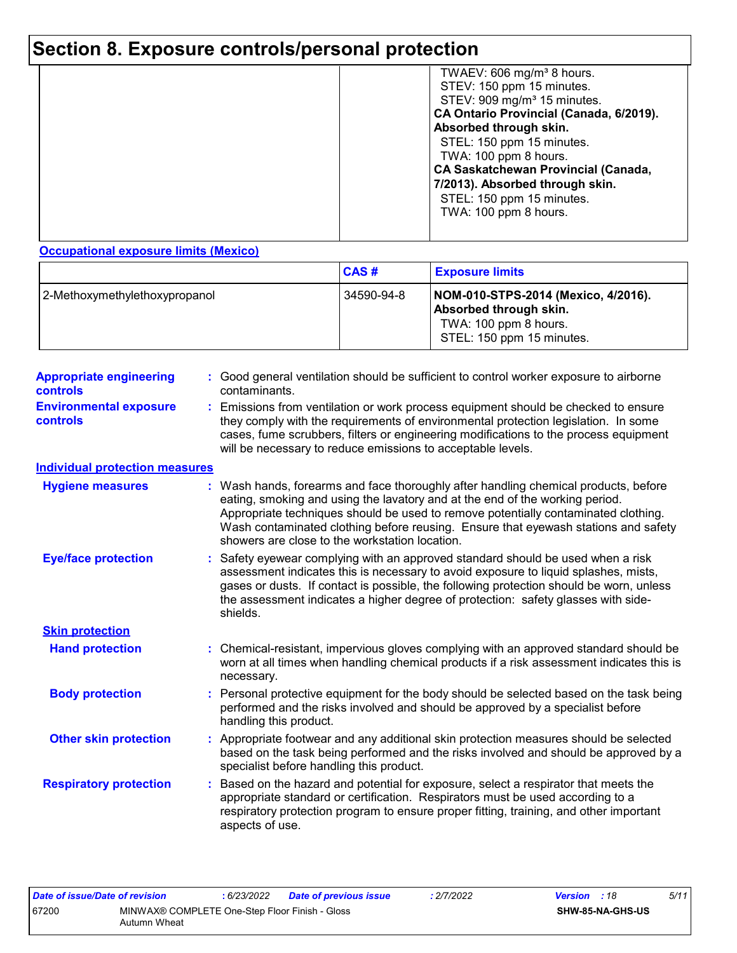## **Section 8. Exposure controls/personal protection**

|  | TWAEV: 606 mg/m <sup>3</sup> 8 hours.<br>STEV: 150 ppm 15 minutes.<br>STEV: 909 mg/m <sup>3</sup> 15 minutes.<br>CA Ontario Provincial (Canada, 6/2019).<br>Absorbed through skin.<br>STEL: 150 ppm 15 minutes.<br>TWA: 100 ppm 8 hours.<br><b>CA Saskatchewan Provincial (Canada,</b><br>7/2013). Absorbed through skin.<br>STEL: 150 ppm 15 minutes.<br>TWA: 100 ppm 8 hours. |
|--|---------------------------------------------------------------------------------------------------------------------------------------------------------------------------------------------------------------------------------------------------------------------------------------------------------------------------------------------------------------------------------|
|--|---------------------------------------------------------------------------------------------------------------------------------------------------------------------------------------------------------------------------------------------------------------------------------------------------------------------------------------------------------------------------------|

**Occupational exposure limits (Mexico)**

|                               | CAS#       | <b>Exposure limits</b>                                                                                              |
|-------------------------------|------------|---------------------------------------------------------------------------------------------------------------------|
| 2-Methoxymethylethoxypropanol | 34590-94-8 | NOM-010-STPS-2014 (Mexico, 4/2016).<br>Absorbed through skin.<br>TWA: 100 ppm 8 hours.<br>STEL: 150 ppm 15 minutes. |

| <b>Appropriate engineering</b><br><b>controls</b> | : Good general ventilation should be sufficient to control worker exposure to airborne<br>contaminants.                                                                                                                                                                                                                                                                                           |
|---------------------------------------------------|---------------------------------------------------------------------------------------------------------------------------------------------------------------------------------------------------------------------------------------------------------------------------------------------------------------------------------------------------------------------------------------------------|
| <b>Environmental exposure</b><br><b>controls</b>  | : Emissions from ventilation or work process equipment should be checked to ensure<br>they comply with the requirements of environmental protection legislation. In some<br>cases, fume scrubbers, filters or engineering modifications to the process equipment<br>will be necessary to reduce emissions to acceptable levels.                                                                   |
| <b>Individual protection measures</b>             |                                                                                                                                                                                                                                                                                                                                                                                                   |
| <b>Hygiene measures</b>                           | : Wash hands, forearms and face thoroughly after handling chemical products, before<br>eating, smoking and using the lavatory and at the end of the working period.<br>Appropriate techniques should be used to remove potentially contaminated clothing.<br>Wash contaminated clothing before reusing. Ensure that eyewash stations and safety<br>showers are close to the workstation location. |
| <b>Eye/face protection</b>                        | : Safety eyewear complying with an approved standard should be used when a risk<br>assessment indicates this is necessary to avoid exposure to liquid splashes, mists,<br>gases or dusts. If contact is possible, the following protection should be worn, unless<br>the assessment indicates a higher degree of protection: safety glasses with side-<br>shields.                                |
| <b>Skin protection</b>                            |                                                                                                                                                                                                                                                                                                                                                                                                   |
| <b>Hand protection</b>                            | : Chemical-resistant, impervious gloves complying with an approved standard should be<br>worn at all times when handling chemical products if a risk assessment indicates this is<br>necessary.                                                                                                                                                                                                   |
| <b>Body protection</b>                            | : Personal protective equipment for the body should be selected based on the task being<br>performed and the risks involved and should be approved by a specialist before<br>handling this product.                                                                                                                                                                                               |
| <b>Other skin protection</b>                      | : Appropriate footwear and any additional skin protection measures should be selected<br>based on the task being performed and the risks involved and should be approved by a<br>specialist before handling this product.                                                                                                                                                                         |
| <b>Respiratory protection</b>                     | Based on the hazard and potential for exposure, select a respirator that meets the<br>appropriate standard or certification. Respirators must be used according to a<br>respiratory protection program to ensure proper fitting, training, and other important<br>aspects of use.                                                                                                                 |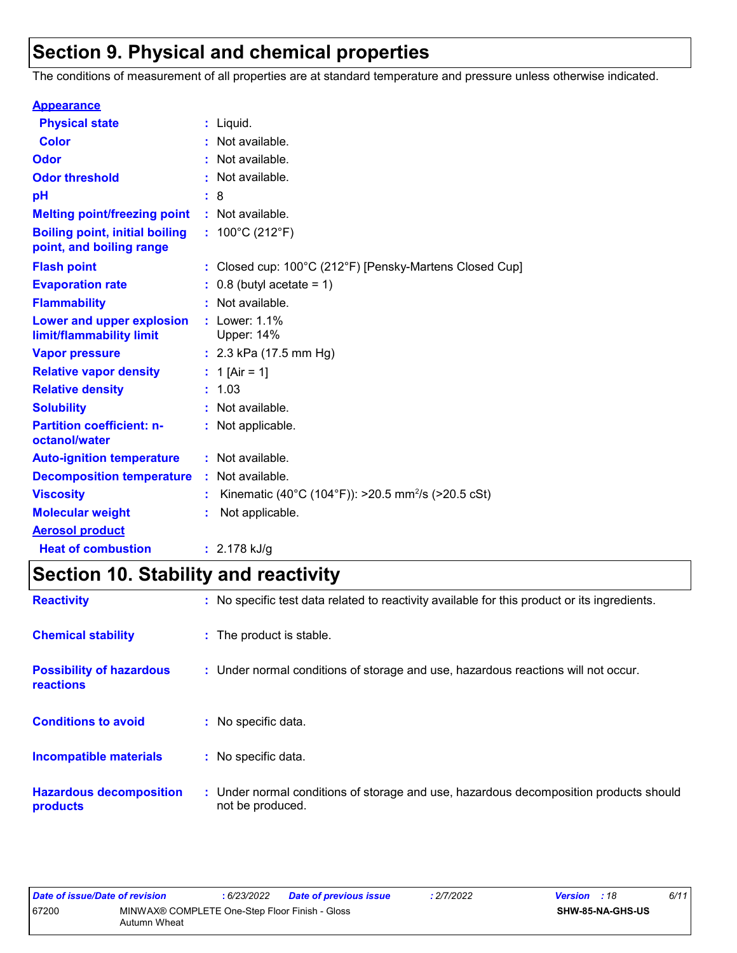## **Section 9. Physical and chemical properties**

The conditions of measurement of all properties are at standard temperature and pressure unless otherwise indicated.

| <b>Appearance</b>                                                 |    |                                                                |
|-------------------------------------------------------------------|----|----------------------------------------------------------------|
| <b>Physical state</b>                                             | t. | Liquid.                                                        |
| <b>Color</b>                                                      |    | Not available.                                                 |
| Odor                                                              |    | Not available.                                                 |
| <b>Odor threshold</b>                                             |    | Not available.                                                 |
| pH                                                                |    | 8                                                              |
| <b>Melting point/freezing point</b>                               |    | : Not available.                                               |
| <b>Boiling point, initial boiling</b><br>point, and boiling range |    | : $100^{\circ}$ C (212 $^{\circ}$ F)                           |
| <b>Flash point</b>                                                |    | Closed cup: 100°C (212°F) [Pensky-Martens Closed Cup]          |
| <b>Evaporation rate</b>                                           |    | $0.8$ (butyl acetate = 1)                                      |
| <b>Flammability</b>                                               |    | Not available.                                                 |
| Lower and upper explosion<br>limit/flammability limit             |    | Lower: 1.1%<br>Upper: 14%                                      |
| <b>Vapor pressure</b>                                             |    | : $2.3$ kPa (17.5 mm Hg)                                       |
| <b>Relative vapor density</b>                                     |    | 1 [Air = 1]                                                    |
| <b>Relative density</b>                                           | t. | 1.03                                                           |
| <b>Solubility</b>                                                 |    | Not available.                                                 |
| <b>Partition coefficient: n-</b><br>octanol/water                 |    | : Not applicable.                                              |
| <b>Auto-ignition temperature</b>                                  |    | : Not available.                                               |
| <b>Decomposition temperature</b>                                  |    | : Not available.                                               |
| <b>Viscosity</b>                                                  |    | Kinematic (40°C (104°F)): >20.5 mm <sup>2</sup> /s (>20.5 cSt) |
| <b>Molecular weight</b>                                           |    | Not applicable.                                                |
| <b>Aerosol product</b>                                            |    |                                                                |
| <b>Heat of combustion</b>                                         |    | $: 2.178$ kJ/g                                                 |

## **Section 10. Stability and reactivity**

| <b>Reactivity</b>                            | : No specific test data related to reactivity available for this product or its ingredients.              |
|----------------------------------------------|-----------------------------------------------------------------------------------------------------------|
| <b>Chemical stability</b>                    | : The product is stable.                                                                                  |
| <b>Possibility of hazardous</b><br>reactions | : Under normal conditions of storage and use, hazardous reactions will not occur.                         |
| <b>Conditions to avoid</b>                   | : No specific data.                                                                                       |
| <b>Incompatible materials</b>                | : No specific data.                                                                                       |
| <b>Hazardous decomposition</b><br>products   | : Under normal conditions of storage and use, hazardous decomposition products should<br>not be produced. |

| Date of issue/Date of revision |                                                                | 6/23/2022 | <b>Date of previous issue</b> | : 2/7/2022 | <b>Version</b> : 18 |                  | 6/11 |
|--------------------------------|----------------------------------------------------------------|-----------|-------------------------------|------------|---------------------|------------------|------|
| 67200                          | MINWAX® COMPLETE One-Step Floor Finish - Gloss<br>Autumn Wheat |           |                               |            |                     | SHW-85-NA-GHS-US |      |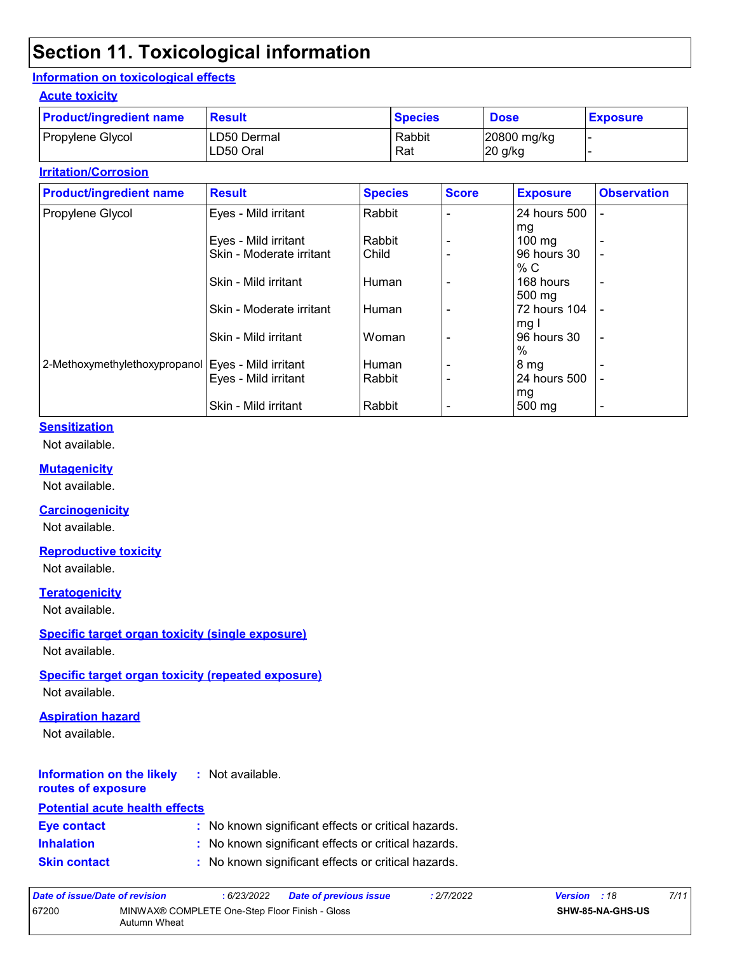## **Section 11. Toxicological information**

#### **Information on toxicological effects**

#### **Acute toxicity**

| <b>Product/ingredient name</b> | <b>Result</b>            | <b>Species</b> | <b>Dose</b>              | <b>Exposure</b> |
|--------------------------------|--------------------------|----------------|--------------------------|-----------------|
| Propylene Glycol               | LD50 Dermal<br>LD50 Oral | Rabbit<br>Rat  | 20800 mg/kg<br>$20$ g/kg |                 |

#### **Irritation/Corrosion**

| <b>Product/ingredient name</b>                       | <b>Result</b>            | <b>Species</b> | <b>Score</b> | <b>Exposure</b>  | <b>Observation</b>       |
|------------------------------------------------------|--------------------------|----------------|--------------|------------------|--------------------------|
| Propylene Glycol                                     | Eyes - Mild irritant     | Rabbit         |              | 24 hours 500     | ۰                        |
|                                                      |                          |                |              | mg               |                          |
|                                                      | Eyes - Mild irritant     | Rabbit         |              | $100 \text{ mg}$ | -                        |
|                                                      | Skin - Moderate irritant | Child          |              | 96 hours 30      | $\overline{\phantom{0}}$ |
|                                                      |                          |                |              | % C              |                          |
|                                                      | Skin - Mild irritant     | Human          |              | 168 hours        | -                        |
|                                                      |                          |                |              | 500 mg           |                          |
|                                                      | Skin - Moderate irritant | Human          |              | 72 hours 104     |                          |
|                                                      |                          |                |              | mg I             |                          |
|                                                      | Skin - Mild irritant     | Woman          |              | 96 hours 30      | $\overline{\phantom{a}}$ |
|                                                      |                          |                |              | $\%$             |                          |
| 2-Methoxymethylethoxypropanol   Eyes - Mild irritant |                          | Human          |              | 8 <sub>mg</sub>  |                          |
|                                                      | Eyes - Mild irritant     | Rabbit         |              | 24 hours 500     |                          |
|                                                      |                          |                |              | mg               |                          |
|                                                      | Skin - Mild irritant     | Rabbit         |              | 500 mg           | $\overline{\phantom{a}}$ |

#### **Sensitization**

Not available.

#### **Mutagenicity**

Not available.

#### **Carcinogenicity**

Not available.

#### **Reproductive toxicity**

Not available.

#### **Teratogenicity**

Not available.

#### **Specific target organ toxicity (single exposure)**

Not available.

#### **Specific target organ toxicity (repeated exposure)**

Not available.

#### **Aspiration hazard**

Not available.

#### **Information on the likely :** Not available.

#### **routes of exposure Potential acute health effects**

| FULGIILIAI ACULE HEAILH EHECLS |                                                     |
|--------------------------------|-----------------------------------------------------|
| Eye contact                    | : No known significant effects or critical hazards. |
| <b>Inhalation</b>              | : No known significant effects or critical hazards. |
| Oldin Anningal                 | . Na kaominina Gerard officiale ny sylliaethautana  |

| Date of issue/Date of revision |                                                                | : 6/23/2022 | <b>Date of previous issue</b> | : 2/7/2022 | <b>Version</b> : 18 |                         | 7/11 |
|--------------------------------|----------------------------------------------------------------|-------------|-------------------------------|------------|---------------------|-------------------------|------|
| 67200                          | MINWAX® COMPLETE One-Step Floor Finish - Gloss<br>Autumn Wheat |             |                               |            |                     | <b>SHW-85-NA-GHS-US</b> |      |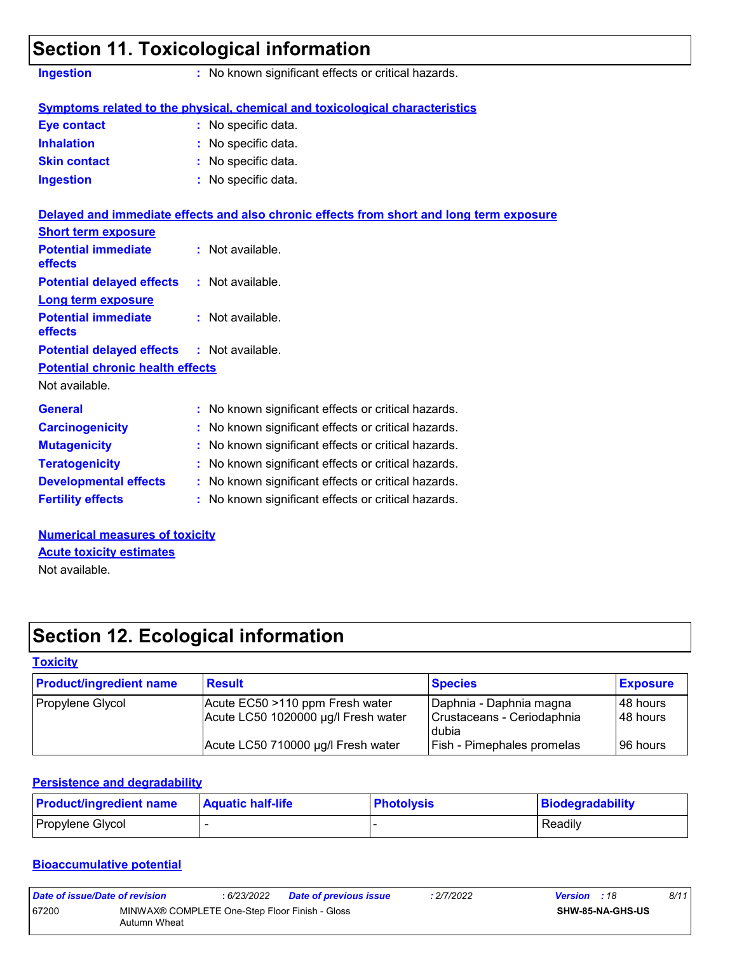|                                                                     | <b>Section 11. Toxicological information</b>                                             |
|---------------------------------------------------------------------|------------------------------------------------------------------------------------------|
| <b>Ingestion</b>                                                    | : No known significant effects or critical hazards.                                      |
|                                                                     | Symptoms related to the physical, chemical and toxicological characteristics             |
| Eye contact                                                         | : No specific data.                                                                      |
| <b>Inhalation</b>                                                   | : No specific data.                                                                      |
| <b>Skin contact</b>                                                 | : No specific data.                                                                      |
| <b>Ingestion</b>                                                    | : No specific data.                                                                      |
|                                                                     | Delayed and immediate effects and also chronic effects from short and long term exposure |
| <b>Short term exposure</b><br><b>Potential immediate</b><br>effects | : Not available.                                                                         |
| <b>Potential delayed effects</b>                                    | $:$ Not available.                                                                       |
| <b>Long term exposure</b>                                           |                                                                                          |
| <b>Potential immediate</b><br><b>effects</b>                        | : Not available.                                                                         |
| <b>Potential delayed effects</b>                                    | : Not available.                                                                         |

#### **Potential chronic health effects**

Not available.

| <b>General</b>               | : No known significant effects or critical hazards. |  |
|------------------------------|-----------------------------------------------------|--|
| <b>Carcinogenicity</b>       | : No known significant effects or critical hazards. |  |
| <b>Mutagenicity</b>          | : No known significant effects or critical hazards. |  |
| <b>Teratogenicity</b>        | : No known significant effects or critical hazards. |  |
| <b>Developmental effects</b> | : No known significant effects or critical hazards. |  |
| <b>Fertility effects</b>     | : No known significant effects or critical hazards. |  |

**Numerical measures of toxicity** Not available. **Acute toxicity estimates**

## **Section 12. Ecological information**

#### **Toxicity**

| <b>Product/ingredient name</b> | <b>Result</b>                                                          | <b>Species</b>                                                 | <b>Exposure</b>        |
|--------------------------------|------------------------------------------------------------------------|----------------------------------------------------------------|------------------------|
| Propylene Glycol               | Acute EC50 >110 ppm Fresh water<br>Acute LC50 1020000 µg/l Fresh water | Daphnia - Daphnia magna<br>Crustaceans - Ceriodaphnia<br>dubia | 148 hours<br>148 hours |
|                                | Acute LC50 710000 µg/l Fresh water                                     | <b>Fish - Pimephales promelas</b>                              | 196 hours              |

#### **Persistence and degradability**

| <b>Product/ingredient name</b> | <b>Aquatic half-life</b> | <b>Photolysis</b> | Biodegradability |
|--------------------------------|--------------------------|-------------------|------------------|
| Propylene Glycol               |                          |                   | Readily          |

#### **Bioaccumulative potential**

| Date of issue/Date of revision                                          |  | : 6/23/2022 | <b>Date of previous issue</b> | : 2/7/2022 | <b>Version</b> : 18 |                         | 8/11 |
|-------------------------------------------------------------------------|--|-------------|-------------------------------|------------|---------------------|-------------------------|------|
| 67200<br>MINWAX® COMPLETE One-Step Floor Finish - Gloss<br>Autumn Wheat |  |             |                               |            |                     | <b>SHW-85-NA-GHS-US</b> |      |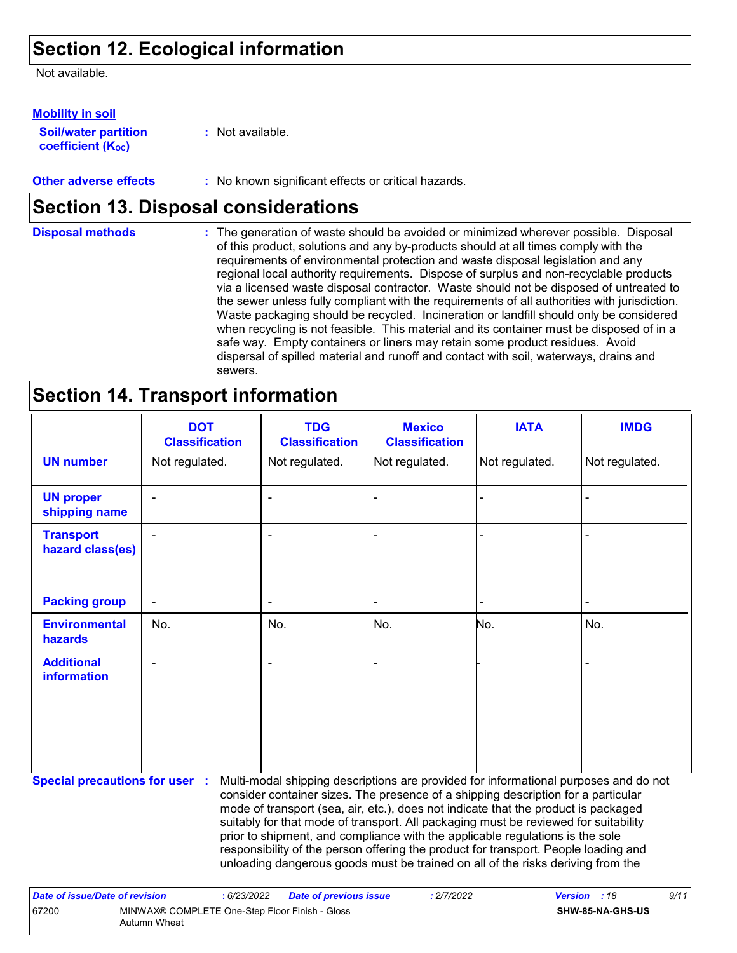## **Section 12. Ecological information**

Not available.

**Soil/water partition coefficient (K**<sup>oc</sup>) **Mobility in soil**

**:** Not available.

**Other adverse effects** : No known significant effects or critical hazards.

## **Section 13. Disposal considerations**

The generation of waste should be avoided or minimized wherever possible. Disposal of this product, solutions and any by-products should at all times comply with the requirements of environmental protection and waste disposal legislation and any regional local authority requirements. Dispose of surplus and non-recyclable products via a licensed waste disposal contractor. Waste should not be disposed of untreated to the sewer unless fully compliant with the requirements of all authorities with jurisdiction. Waste packaging should be recycled. Incineration or landfill should only be considered when recycling is not feasible. This material and its container must be disposed of in a safe way. Empty containers or liners may retain some product residues. Avoid dispersal of spilled material and runoff and contact with soil, waterways, drains and sewers. **Disposal methods :**

## **Section 14. Transport information**

67200 MINWAX® COMPLETE One-Step Floor Finish - Gloss

Autumn Wheat

|                                         | <b>DOT</b><br><b>Classification</b> | <b>TDG</b><br><b>Classification</b>                                                                                                                                                                                                                                                                                                                                                                                                                                                                                                                                                                               | <b>Mexico</b><br><b>Classification</b> | <b>IATA</b>    | <b>IMDG</b>    |
|-----------------------------------------|-------------------------------------|-------------------------------------------------------------------------------------------------------------------------------------------------------------------------------------------------------------------------------------------------------------------------------------------------------------------------------------------------------------------------------------------------------------------------------------------------------------------------------------------------------------------------------------------------------------------------------------------------------------------|----------------------------------------|----------------|----------------|
| <b>UN number</b>                        | Not regulated.                      | Not regulated.                                                                                                                                                                                                                                                                                                                                                                                                                                                                                                                                                                                                    | Not regulated.                         | Not regulated. | Not regulated. |
| <b>UN proper</b><br>shipping name       |                                     | $\blacksquare$                                                                                                                                                                                                                                                                                                                                                                                                                                                                                                                                                                                                    |                                        |                |                |
| <b>Transport</b><br>hazard class(es)    |                                     |                                                                                                                                                                                                                                                                                                                                                                                                                                                                                                                                                                                                                   |                                        |                |                |
| <b>Packing group</b>                    |                                     |                                                                                                                                                                                                                                                                                                                                                                                                                                                                                                                                                                                                                   |                                        |                |                |
| <b>Environmental</b><br>hazards         | No.                                 | No.                                                                                                                                                                                                                                                                                                                                                                                                                                                                                                                                                                                                               | No.                                    | No.            | No.            |
| <b>Additional</b><br><b>information</b> |                                     | $\blacksquare$                                                                                                                                                                                                                                                                                                                                                                                                                                                                                                                                                                                                    |                                        |                |                |
| <b>Special precautions for user :</b>   |                                     | Multi-modal shipping descriptions are provided for informational purposes and do not<br>consider container sizes. The presence of a shipping description for a particular<br>mode of transport (sea, air, etc.), does not indicate that the product is packaged<br>suitably for that mode of transport. All packaging must be reviewed for suitability<br>prior to shipment, and compliance with the applicable regulations is the sole<br>responsibility of the person offering the product for transport. People loading and<br>unloading dangerous goods must be trained on all of the risks deriving from the |                                        |                |                |
| <b>Date of issue/Date of revision</b>   | : 6/23/2022                         | <b>Date of previous issue</b>                                                                                                                                                                                                                                                                                                                                                                                                                                                                                                                                                                                     | : 2/7/2022                             | <b>Version</b> | 9/11<br>:18    |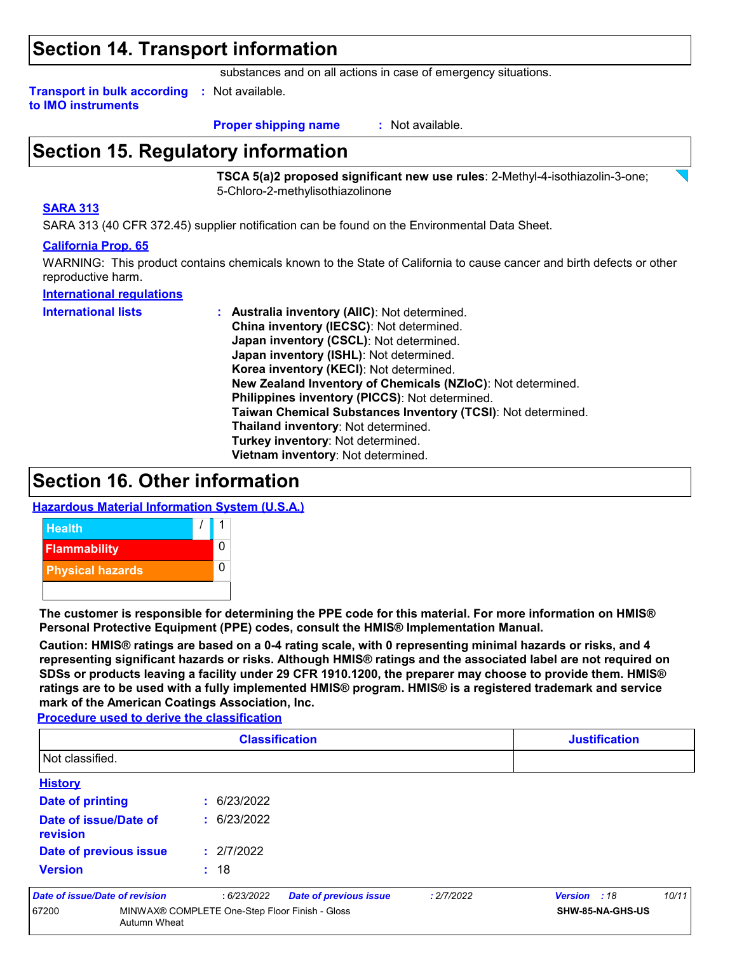### **Section 14. Transport information**

substances and on all actions in case of emergency situations.

**Transport in bulk according :** Not available. **to IMO instruments**

**Proper shipping name :**

: Not available.

## **Section 15. Regulatory information**

**TSCA 5(a)2 proposed significant new use rules**: 2-Methyl-4-isothiazolin-3-one; 5-Chloro-2-methylisothiazolinone

#### **SARA 313**

SARA 313 (40 CFR 372.45) supplier notification can be found on the Environmental Data Sheet.

#### **California Prop. 65**

WARNING: This product contains chemicals known to the State of California to cause cancer and birth defects or other reproductive harm.

#### **International regulations**

**International lists :**

**Australia inventory (AIIC)**: Not determined. **China inventory (IECSC)**: Not determined. **Japan inventory (CSCL)**: Not determined. **Japan inventory (ISHL)**: Not determined. **Korea inventory (KECI)**: Not determined. **New Zealand Inventory of Chemicals (NZIoC)**: Not determined. **Philippines inventory (PICCS)**: Not determined. **Taiwan Chemical Substances Inventory (TCSI)**: Not determined. **Thailand inventory**: Not determined. **Turkey inventory**: Not determined. **Vietnam inventory**: Not determined.

### **Section 16. Other information**

**Hazardous Material Information System (U.S.A.)**



**The customer is responsible for determining the PPE code for this material. For more information on HMIS® Personal Protective Equipment (PPE) codes, consult the HMIS® Implementation Manual.**

**Caution: HMIS® ratings are based on a 0-4 rating scale, with 0 representing minimal hazards or risks, and 4 representing significant hazards or risks. Although HMIS® ratings and the associated label are not required on SDSs or products leaving a facility under 29 CFR 1910.1200, the preparer may choose to provide them. HMIS® ratings are to be used with a fully implemented HMIS® program. HMIS® is a registered trademark and service mark of the American Coatings Association, Inc.**

**Procedure used to derive the classification**

| <b>Classification</b>             |                                                |                               | <b>Justification</b> |              |                  |
|-----------------------------------|------------------------------------------------|-------------------------------|----------------------|--------------|------------------|
| Not classified.                   |                                                |                               |                      |              |                  |
| <b>History</b>                    |                                                |                               |                      |              |                  |
| <b>Date of printing</b>           | : 6/23/2022                                    |                               |                      |              |                  |
| Date of issue/Date of<br>revision | : 6/23/2022                                    |                               |                      |              |                  |
| Date of previous issue            | : 2/7/2022                                     |                               |                      |              |                  |
| <b>Version</b>                    | : 18                                           |                               |                      |              |                  |
| Date of issue/Date of revision    | :6/23/2022                                     | <b>Date of previous issue</b> | : 2/7/2022           | Version : 18 | 10/11            |
| 67200<br>Autumn Wheat             | MINWAX® COMPLETE One-Step Floor Finish - Gloss |                               |                      |              | SHW-85-NA-GHS-US |